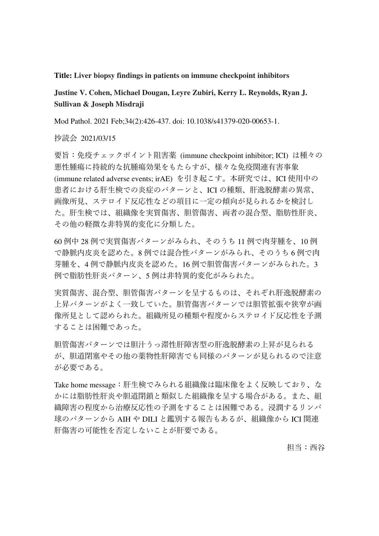#### **Title: Liver biopsy findings in patients on immune checkpoint inhibitors**

# **Justine V. Cohen, Michael Dougan, Leyre Zubiri, Kerry L. Reynolds, Ryan J. Sullivan & Joseph Misdraji**

Mod Pathol. 2021 Feb;34(2):426-437. doi: 10.1038/s41379-020-00653-1.

抄読会 2021/03/15

要旨:免疫チェックポイント阻害薬 (immune checkpoint inhibitor; ICI) は種々の 悪性腫瘍に持続的な抗腫瘍効果をもたらすが、様々な免疫関連有害事象 (immune related adverse events; irAE) を引き起こす。本研究では、ICI 使用中の 患者における肝生検での炎症のパターンと、ICI の種類、肝逸脱酵素の異常、 画像所見、ステロイド反応性などの項目に一定の傾向が見られるかを検討し た。肝生検では、組織像を実質傷害、胆管傷害、両者の混合型、脂肪性肝炎、 その他の軽微な非特異的変化に分類した。

60 例中 28 例で実質傷害パターンがみられ、そのうち 11 例で肉芽腫を、10 例 で静脈内皮炎を認めた。8 例では混合性パターンがみられ、そのうち 6 例で肉 芽腫を、4 例で静脈内皮炎を認めた。16 例で胆管傷害パターンがみられた。3 例で脂肪性肝炎パターン、5 例は非特異的変化がみられた。

実質傷害、混合型、胆管傷害パターンを呈するものは、それぞれ肝逸脱酵素の 上昇パターンがよく一致していた。胆管傷害パターンでは胆管拡張や狭窄が画 像所見として認められた。組織所見の種類や程度からステロイド反応性を予測 することは困難であった。

胆管傷害パターンでは胆汁うっ滞性肝障害型の肝逸脱酵素の上昇が見られる が、胆道閉塞やその他の薬物性肝障害でも同様のパターンが見られるので注意 が必要である。

Take home message:肝生検でみられる組織像は臨床像をよく反映しており、な かには脂肪性肝炎や胆道閉鎖と類似した組織像を呈する場合がある。また、組 織障害の程度から治療反応性の予測をすることは困難である。浸潤するリンパ 球のパターンから AIH や DILI と鑑別する報告もあるが、組織像から ICI 関連 肝傷害の可能性を否定しないことが肝要である。

担当:西谷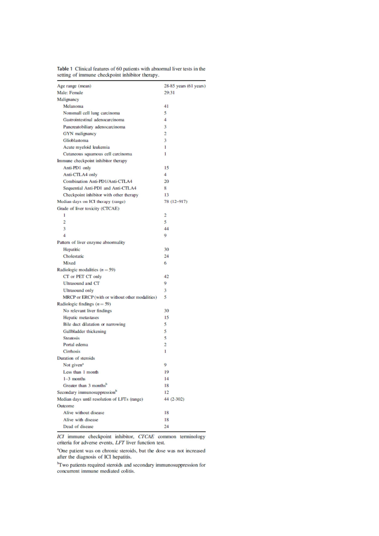| Age range (mean)                                | 28-85 years (61 years) |
|-------------------------------------------------|------------------------|
| <b>Male: Female</b>                             | 29:31                  |
| Malignancy                                      |                        |
| Melanoma                                        | 41                     |
| Nonsmall cell lung carcinoma                    | 5                      |
| Gastrointestinal adenocarcinoma                 | $\overline{4}$         |
| Pancreatobiliary adenocarcinoma                 | 3                      |
| <b>GYN</b> malignancy                           | $\overline{c}$         |
| Glioblastoma                                    | 3                      |
| Acute myeloid leukemia                          | 1                      |
| Cutaneous squamous cell carcinoma               | $\mathbf{I}$           |
| Immune checkpoint inhibitor therapy             |                        |
| Anti-PD1 only                                   | 15                     |
| Anti-CTLA4 only                                 | 4                      |
| Combination Anti-PD1/Anti-CTLA4                 | 20                     |
| Sequential Anti-PD1 and Anti-CTLA4              | 8                      |
| Checkpoint inhibitor with other therapy         | 13                     |
| Median days on ICI therapy (range)              | 78 (12-917)            |
| Grade of liver toxicity (CTCAE)                 |                        |
| 1                                               | 2                      |
| $\overline{2}$                                  | 5                      |
| 3                                               | 44                     |
| $\overline{4}$                                  | 9                      |
| Pattern of liver enzyme abnormality             |                        |
| Hepatitic                                       | 30                     |
| Cholestatic                                     | 24                     |
| Mixed                                           | 6                      |
| Radiologic modalities $(n = 59)$                |                        |
| CT or PET CT only                               | 42                     |
| <b>Ultrasound and CT</b>                        | 9                      |
| <b>Ultrasound only</b>                          | 3                      |
| MRCP or ERCP (with or without other modalities) | 5                      |
| Radiologic findings $(n = 59)$                  |                        |
| No relevant liver findings                      | 30                     |
| Hepatic metastases                              | 15                     |
| Bile duct dilatation or narrowing               | 5                      |
| Gallbladder thickening                          | 5                      |
| <b>Steatosis</b>                                | 5                      |
| Portal edema                                    | $\overline{c}$         |
| <b>Cirrhosis</b>                                | 1                      |
| Duration of steroids                            |                        |
| Not given <sup>a</sup>                          | 9                      |
| Less than 1 month                               | 19                     |
| $1-3$ months                                    | 14                     |
| Greater than 3 months <sup>b</sup>              | 18                     |
| Secondary immunosuppression <sup>b</sup>        | 12                     |
| Median days until resolution of LFTs (range)    | 44 (2-302)             |
| <b>Outcome</b>                                  |                        |
| Alive without disease                           | 18                     |
| Alive with disease                              | 18                     |
| Dead of disease                                 | 24                     |
|                                                 |                        |

Table 1 Clinical features of 60 patients with abnormal liver tests in the setting of immune checkpoint inhibitor therapy.

ICI immune checkpoint inhibitor, CTCAE common terminology criteria for adverse events, LFT liver function test.

<sup>a</sup>One patient was on chronic steroids, but the dose was not increased after the diagnosis of ICI hepatitis.

<sup>b</sup>Two patients required steroids and secondary immunosuppression for concurrent immune mediated colitis.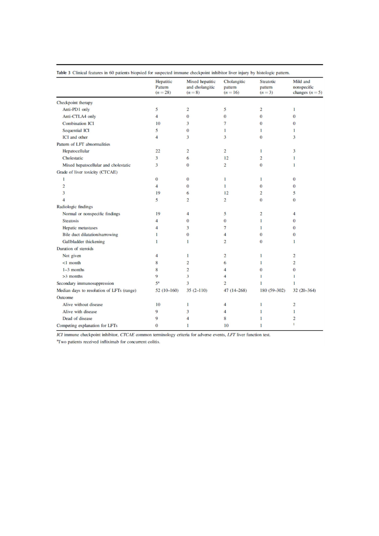|                                           | Hepatitic<br>Pattern<br>$(n=28)$ | Mixed hepatitic<br>and cholangitic<br>$(n=8)$ | Cholangitic<br>pattern<br>$(n = 16)$ | <b>Steatotic</b><br>pattern<br>$(n=3)$ | Mild and<br>nonspecific<br>changes $(n=5)$ |
|-------------------------------------------|----------------------------------|-----------------------------------------------|--------------------------------------|----------------------------------------|--------------------------------------------|
|                                           |                                  |                                               |                                      |                                        |                                            |
| Checkpoint therapy                        |                                  |                                               |                                      |                                        |                                            |
| Anti-PD1 only                             | 5                                | $\overline{c}$                                | 5                                    | $\overline{c}$                         | 1                                          |
| Anti-CTLA4 only                           | $\overline{4}$                   | $\bf{0}$                                      | $\bf{0}$                             | $\bf{0}$                               | $\bf{0}$                                   |
| <b>Combination ICI</b>                    | 10                               | 3                                             | $\overline{\tau}$                    | $\bf{0}$                               | $\bf{0}$                                   |
| <b>Sequential ICI</b>                     | 5                                | $\overline{0}$                                | 1                                    | 1                                      | 1                                          |
| <b>ICI</b> and other                      | $\overline{4}$                   | 3                                             | 3                                    | $\bf{0}$                               | 3                                          |
| Pattern of LFT abnormalities              |                                  |                                               |                                      |                                        |                                            |
| Hepatocellular                            | 22                               | $\overline{c}$                                | $\overline{c}$                       | 1                                      | 3                                          |
| Cholestatic                               | 3                                | 6                                             | 12                                   | $\overline{c}$                         | $\mathbf{1}$                               |
| Mixed hepatocellular and cholestatic      | 3                                | $\overline{0}$                                | $\overline{2}$                       | $\overline{0}$                         | $\mathbf{1}$                               |
| Grade of liver toxicity (CTCAE)           |                                  |                                               |                                      |                                        |                                            |
| 1                                         | $\bf{0}$                         | $\bf{0}$                                      | $\mathbf{1}$                         | 1                                      | $\bf{0}$                                   |
| $\overline{c}$                            | $\overline{4}$                   | $\mathbf{0}$                                  | $\mathbf{1}$                         | $\bf{0}$                               | $\bf{0}$                                   |
| 3                                         | 19                               | 6                                             | 12                                   | $\overline{c}$                         | 5                                          |
| $\overline{4}$                            | 5                                | $\overline{2}$                                | $\overline{2}$                       | $\overline{0}$                         | $\bf{0}$                                   |
| Radiologic findings                       |                                  |                                               |                                      |                                        |                                            |
| Normal or nonspecific findings            | 19                               | 4                                             | 5                                    | $\overline{c}$                         | 4                                          |
| <b>Steatosis</b>                          | 4                                | $\bf{0}$                                      | $\bf{0}$                             | 1                                      | $\bf{0}$                                   |
| Hepatic metastases                        | $\overline{4}$                   | 3                                             | $\overline{7}$                       | 1                                      | $\bf{0}$                                   |
| Bile duct dilatation/narrowing            | 1                                | $\overline{0}$                                | $\overline{4}$                       | $\mathbf{0}$                           | $\bf{0}$                                   |
| Gallbladder thickening                    | 1                                | 1                                             | $\overline{2}$                       | $\bf{0}$                               | 1                                          |
| Duration of steroids                      |                                  |                                               |                                      |                                        |                                            |
| Not given                                 | $\overline{4}$                   | 1                                             | $\overline{2}$                       | $\mathbf{1}$                           | $\overline{c}$                             |
| $< 1$ month                               | 8                                | $\overline{c}$                                | 6                                    | 1                                      | $\overline{c}$                             |
| $1-3$ months                              | 8                                | $\overline{c}$                                | 4                                    | $\bf{0}$                               | $\bf{0}$                                   |
| $>3$ months                               | 9                                | 3                                             | 4                                    | $\mathbf{I}$                           | $\mathbf{1}$                               |
| Secondary immunosuppression               | 5 <sup>a</sup>                   | 3                                             | $\overline{2}$                       | 1                                      | 1                                          |
| Median days to resolution of LFTs (range) | $52(10-160)$                     | $35(2-110)$                                   | 47 (14-268)                          | $180(59-302)$                          | $32(20-364)$                               |
| <b>Outcome</b>                            |                                  |                                               |                                      |                                        |                                            |
| Alive without disease                     | 10                               | 1                                             | 4                                    | $\mathbf{I}$                           | $\overline{c}$                             |
| Alive with disease                        | 9                                | 3                                             | 4                                    | 1                                      | 1                                          |
| Dead of disease                           | 9                                | 4                                             | 8                                    | 1                                      | $\overline{c}$                             |
| Competing explanation for LFTs            | $\bf{0}$                         | 1                                             | 10                                   | 1                                      | $\mathbf{1}$                               |

ICI immune checkpoint inhibitor, CTCAE common terminology criteria for adverse events, LFT liver function test.

<sup>a</sup>Two patients received infliximab for concurrent colitis.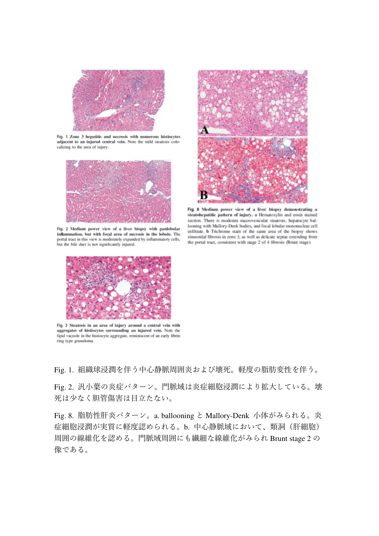

Fig. 1 Zone 3 hepatitis and necrosis with numerous histiocytes adjacent to an injured central vein. Note the mild steatosis colocalizing to the area of injury.



Fig. 2 Medium power view of a liver biopsy with panlobular inflammation, but with focal area of necrosis in the lobule. The portal tract in this view is moderately expanded by inflammatory cells, but the bile duct is not significantly injured.



Fig. 8 Medium power view of a liver biopsy demonstrating a steatohepatitic pattern of injury, a Hematoxylin and eosin stained section. There is moderate macrovesicular steatosis, hepatocyte ballooning with Mallory-Denk bodies, and focal lobular mononuclear cell infiltrate. b Trichrome stain of the same area of the biopsy shows sinusoidal fibrosis in zone 3, as well as delicate septae extending from the portal tract, consistent with stage 2 of 4 fibrosis (Brunt stage).



Fig. 3 Steatosis in an area of injury around a central vein with aggregates of histiocytes surrounding an injured vein. Note the lipid vacuole in the histiocyte aggregate, reminiscent of an early fibrin ring type granuloma.

Fig. 1. 組織球浸潤を伴う中心静脈周囲炎および壊死。軽度の脂肪変性を伴う。

Fig. 2. 汎小葉の炎症パターン。門脈域は炎症細胞浸潤により拡大している。壊 死は少なく胆管傷害は目立たない。

Fig. 8. 脂肪性肝炎パターン。a. ballooning と Mallory-Denk 小体がみられる。炎 症細胞浸潤が実質に軽度認められる。b. 中心静脈域において、類洞(肝細胞) 周囲の線維化を認める。門脈域周囲にも繊細な線維化がみられ Brunt stage 2 の 像である。